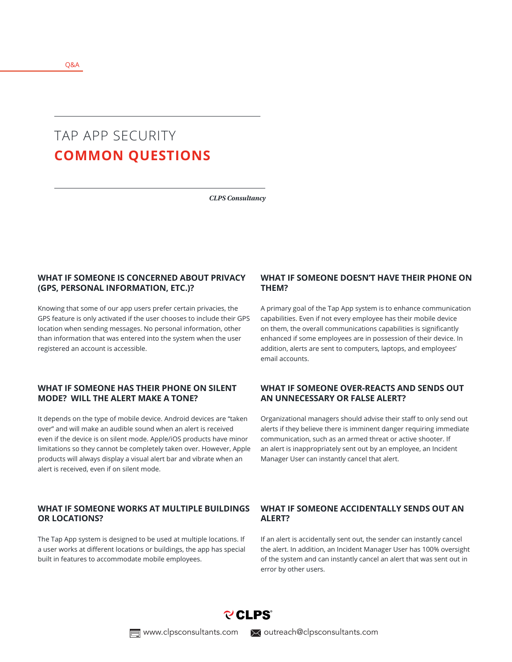# TAP APP SECURITY **COMMON QUESTIONS**

*CLPS Consultancy*

## **WHAT IF SOMEONE IS CONCERNED ABOUT PRIVACY (GPS, PERSONAL INFORMATION, ETC.)?**

Knowing that some of our app users prefer certain privacies, the GPS feature is only activated if the user chooses to include their GPS location when sending messages. No personal information, other than information that was entered into the system when the user registered an account is accessible.

#### **WHAT IF SOMEONE HAS THEIR PHONE ON SILENT MODE? WILL THE ALERT MAKE A TONE?**

It depends on the type of mobile device. Android devices are "taken over" and will make an audible sound when an alert is received even if the device is on silent mode. Apple/iOS products have minor limitations so they cannot be completely taken over. However, Apple products will always display a visual alert bar and vibrate when an alert is received, even if on silent mode.

#### **WHAT IF SOMEONE WORKS AT MULTIPLE BUILDINGS OR LOCATIONS?**

The Tap App system is designed to be used at multiple locations. If a user works at different locations or buildings, the app has special built in features to accommodate mobile employees.

#### **WHAT IF SOMEONE DOESN'T HAVE THEIR PHONE ON THEM?**

A primary goal of the Tap App system is to enhance communication capabilities. Even if not every employee has their mobile device on them, the overall communications capabilities is significantly enhanced if some employees are in possession of their device. In addition, alerts are sent to computers, laptops, and employees' email accounts.

#### **WHAT IF SOMEONE OVER-REACTS AND SENDS OUT AN UNNECESSARY OR FALSE ALERT?**

Organizational managers should advise their staff to only send out alerts if they believe there is imminent danger requiring immediate communication, such as an armed threat or active shooter. If an alert is inappropriately sent out by an employee, an Incident Manager User can instantly cancel that alert.

## **WHAT IF SOMEONE ACCIDENTALLY SENDS OUT AN ALERT?**

If an alert is accidentally sent out, the sender can instantly cancel the alert. In addition, an Incident Manager User has 100% oversight of the system and can instantly cancel an alert that was sent out in error by other users.

**PCLPS** 

 $\equiv$  www.clpsconsultants.com  $\searrow$  outreach@clpsconsultants.com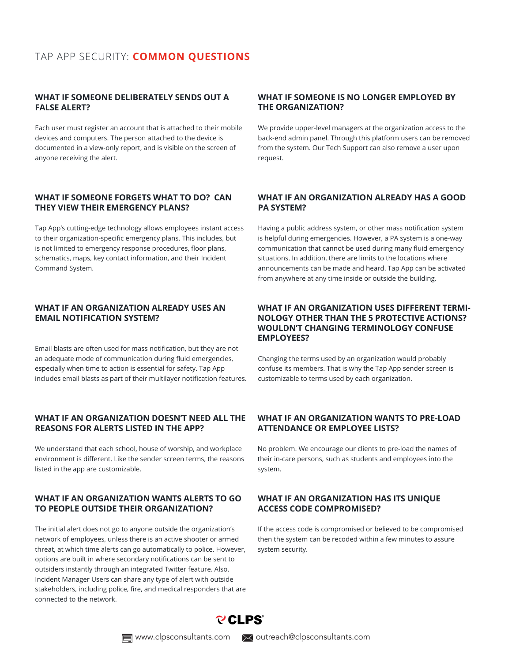## **WHAT IF SOMEONE DELIBERATELY SENDS OUT A FALSE ALERT?**

Each user must register an account that is attached to their mobile devices and computers. The person attached to the device is documented in a view-only report, and is visible on the screen of anyone receiving the alert.

## **WHAT IF SOMEONE FORGETS WHAT TO DO? CAN THEY VIEW THEIR EMERGENCY PLANS?**

Tap App's cutting-edge technology allows employees instant access to their organization-specific emergency plans. This includes, but is not limited to emergency response procedures, floor plans, schematics, maps, key contact information, and their Incident Command System.

## **WHAT IF AN ORGANIZATION ALREADY USES AN EMAIL NOTIFICATION SYSTEM?**

Email blasts are often used for mass notification, but they are not an adequate mode of communication during fluid emergencies, especially when time to action is essential for safety. Tap App includes email blasts as part of their multilayer notification features.

## **WHAT IF AN ORGANIZATION DOESN'T NEED ALL THE REASONS FOR ALERTS LISTED IN THE APP?**

We understand that each school, house of worship, and workplace environment is different. Like the sender screen terms, the reasons listed in the app are customizable.

## **WHAT IF AN ORGANIZATION WANTS ALERTS TO GO TO PEOPLE OUTSIDE THEIR ORGANIZATION?**

The initial alert does not go to anyone outside the organization's network of employees, unless there is an active shooter or armed threat, at which time alerts can go automatically to police. However, options are built in where secondary notifications can be sent to outsiders instantly through an integrated Twitter feature. Also, Incident Manager Users can share any type of alert with outside stakeholders, including police, fire, and medical responders that are connected to the network.

## **WHAT IF SOMEONE IS NO LONGER EMPLOYED BY THE ORGANIZATION?**

We provide upper-level managers at the organization access to the back-end admin panel. Through this platform users can be removed from the system. Our Tech Support can also remove a user upon request.

## **WHAT IF AN ORGANIZATION ALREADY HAS A GOOD PA SYSTEM?**

Having a public address system, or other mass notification system is helpful during emergencies. However, a PA system is a one-way communication that cannot be used during many fluid emergency situations. In addition, there are limits to the locations where announcements can be made and heard. Tap App can be activated from anywhere at any time inside or outside the building.

## **WHAT IF AN ORGANIZATION USES DIFFERENT TERMI-NOLOGY OTHER THAN THE 5 PROTECTIVE ACTIONS? WOULDN'T CHANGING TERMINOLOGY CONFUSE EMPLOYEES?**

Changing the terms used by an organization would probably confuse its members. That is why the Tap App sender screen is customizable to terms used by each organization.

## **WHAT IF AN ORGANIZATION WANTS TO PRE-LOAD ATTENDANCE OR EMPLOYEE LISTS?**

No problem. We encourage our clients to pre-load the names of their in-care persons, such as students and employees into the system.

## **WHAT IF AN ORGANIZATION HAS ITS UNIQUE ACCESS CODE COMPROMISED?**

If the access code is compromised or believed to be compromised then the system can be recoded within a few minutes to assure system security.



www.clpsconsultants.com  $\blacktriangleright$  outreach@clpsconsultants.com